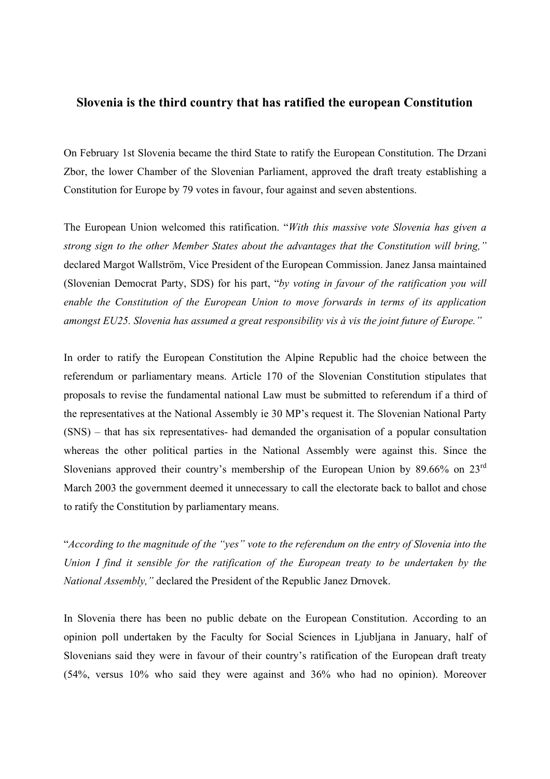## **Slovenia is the third country that has ratified the european Constitution**

On February 1st Slovenia became the third State to ratify the European Constitution. The Drzani Zbor, the lower Chamber of the Slovenian Parliament, approved the draft treaty establishing a Constitution for Europe by 79 votes in favour, four against and seven abstentions.

The European Union welcomed this ratification. "*With this massive vote Slovenia has given a strong sign to the other Member States about the advantages that the Constitution will bring,"*  declared Margot Wallström, Vice President of the European Commission. Janez Jansa maintained (Slovenian Democrat Party, SDS) for his part, "*by voting in favour of the ratification you will enable the Constitution of the European Union to move forwards in terms of its application amongst EU25. Slovenia has assumed a great responsibility vis à vis the joint future of Europe."*

In order to ratify the European Constitution the Alpine Republic had the choice between the referendum or parliamentary means. Article 170 of the Slovenian Constitution stipulates that proposals to revise the fundamental national Law must be submitted to referendum if a third of the representatives at the National Assembly ie 30 MP's request it. The Slovenian National Party (SNS) – that has six representatives- had demanded the organisation of a popular consultation whereas the other political parties in the National Assembly were against this. Since the Slovenians approved their country's membership of the European Union by 89.66% on 23<sup>rd</sup> March 2003 the government deemed it unnecessary to call the electorate back to ballot and chose to ratify the Constitution by parliamentary means.

"*According to the magnitude of the "yes" vote to the referendum on the entry of Slovenia into the Union I find it sensible for the ratification of the European treaty to be undertaken by the National Assembly,"* declared the President of the Republic Janez Drnovek.

In Slovenia there has been no public debate on the European Constitution. According to an opinion poll undertaken by the Faculty for Social Sciences in Ljubljana in January, half of Slovenians said they were in favour of their country's ratification of the European draft treaty (54%, versus 10% who said they were against and 36% who had no opinion). Moreover